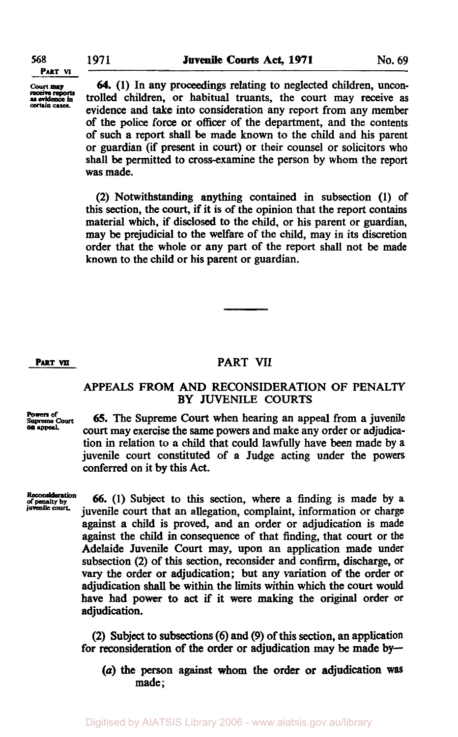**receive reports certain** cases.

**PART M** 

Court **64.** (1) In any proceedings relating to neglected children, uncontrolled children, or habitual truants, the court may receive as evidence and take into consideration any report from any member of the police force or officer of the department, and the contents of such a report shall be made **known** to the child and his parent or guardian (if present in **court)** or their counsel or solicitors who shall be permitted to cross-examine the person by whom the report was made.

> **(2)** Notwithstanding anything contained in subsection (1) of this section, the court, if it is of the opinion that the report **contains**  material which, if disclosed to the child, or his parent or guardian, may be prejudicial to the welfare of the child, may in its discretion order that the whole **or** any part of the report shall not be made **known** to the child or his parent or guardian.

## **PART VII PART VII**

## APPEALS FROM AND RECONSIDERATION OF PENALTY **BY** JUVENILE COURTS

**Powers of**  Supreme Court *appeaI.* 

*65.* The Supreme Court when hearing **an** appeal from a juvenile court may exercise the same powers and make any order or adjudication in relation to a child that could lawfully have **been** made by a juvenile court constituted of a Judge acting under the powers conferred on it by this Act.

**juvenile** court.

**tion Reconsideration of penalty by 66. (1)** Subject to this section, where a finding is made by a juvenile **court** that an allegation, complaint, information or charge against a child is proved, and an order or adjudication is made against the child in consequence of that finding, that **court** or **the**  Adelaide Juvenile **Court** may, upon an application made under subsection **(2)** of this **section,** reconsider and confirm, discharge, or **vary** the order or adjudication; but any variation of the order or adjudication **shall be** within the **limits** within which the **court** would have had power to act if it **were** making the original order or adjudication.

> **(2)** Subject **to subsections** (6) and *(9)* of this **section,** an application for reconsideration **of** the order or adjudication may be made **by-**

*(a)* the **person** against whom the order or adjudication **was**  made ;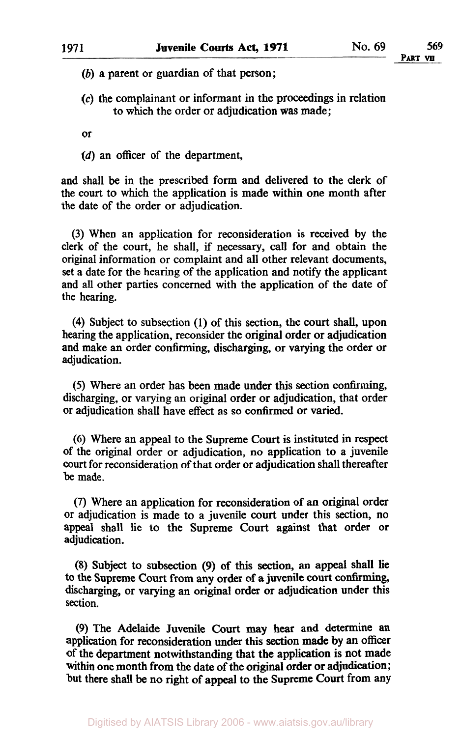*(b)* a parent or guardian of that person;

*(c)* the complainant or informant in the proceedings in relation to which the order or adjudication was made;

or

**(d)** an officer of the department,

and shall be in the prescribed form and delivered to the clerk of the court to which the application is made within one month after the date of the order or adjudication.

(3) When an application for reconsideration is received by the clerk of the court, he shall, if necessary, call for and obtain the original information or complaint and all other relevant documents, set a date for the hearing of the application and notify the applicant and all other parties concerned with the application of the date of the hearing.

**(4)** Subject to subsection (1) of this section, the court shall, upon hearing the application, reconsider the original order or adjudication and make an order confirming, discharging, or varying the order or adjudication.

*(5)* Where an order has been made under this section confirming, discharging, or varying an original order or adjudication, that order or adjudication shall have effect as **so** confirmed or varied.

(6) Where an appeal to the Supreme Court is instituted in respect of the original order or adjudication, no application to a juvenile **court** for reconsideration of that order or adjudication shall thereafter be made.

(7) Where an application for reconsideration of an original order or adjudication is made to a juvenile court under this section, no appeal shall lie to the Supreme Court against that order or adjudication.

**(8)** Subject to subsection **(9)** of this section, an appeal shall lie to the Supreme Court from any order of **a** juvenile **court** confirming, discharging, or varying an original order or adjudication under this section.

(9) The Adelaide Juvenile **Court** may **hear** and determine **an**  application for reconsideration under this section made by an officer of the department notwithstanding that the application is not made within one month from the date of the original order or adjudication; but there shall be no right of appeal to the Supreme Court from any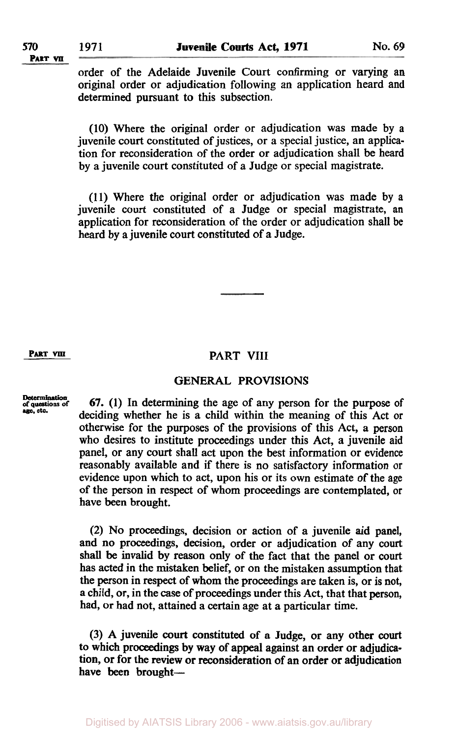order of the Adelaide Juvenile Court confirming or varying an original order or adjudication following an application heard and determined pursuant to this subsection.

(10) Where the original order or adjudication was made by a juvenile court constituted of justices, or a special justice, an application for reconsideration of the order or adjudication shall be heard by a juvenile court constituted of a Judge or special magistrate.

**(1 1)** Where the original order or adjudication was made by a juvenile court constituted of a Judge or special magistrate, an application for reconsideration of the order or adjudication shall be heard by a juvenile court constituted of a Judge.

# **PART VIII PART VIII**

## **GENERAL PROVISIONS**

of questions of<br>age, etc.

**tion Determination of questions of 67. (1)** In determining the age of any person for the purpose of deciding whether he is a child within the meaning of this Act or otherwise for the purposes of the provisions of this Act, a person who desires to institute proceedings under this Act, a juvenile aid panel, or any **court** shall act upon the best information or evidence reasonably available and if there is no satisfactory information or evidence upon which to act, upon his or its own estimate of the age of the person in respect of whom proceedings are contemplated, or have been brought.

> (2) No proceedings, decision or action of a juvenile aid panel, and no proceedings, decision, order or adjudication of any court shall be invalid by reason only of the fact that the panel or court has acted in the mistaken belief, or on the mistaken assumption that the person in **respect** of whom the proceedings are taken is, or is not, a child, or, in the case of proceedings under this Act, that that person, had, or had not, attained a certain age at a particular time.

> (3) **A** juvenile court constituted of a Judge, or any other **court**  to which proceedings by way of appeal against an order or adjudication, or for the **review** or reconsideration of an order or adjudication have been brought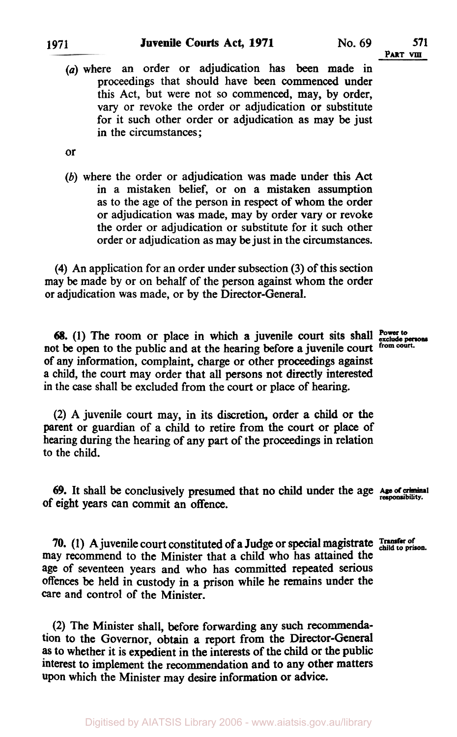in the circumstances;

*(a)* where an order or adjudication has been made in proceedings that should have been commenced under this Act, but were not so commenced, may, by order, vary or revoke the order or adjudication or substitute

or

*(b)* where the order or adjudication was made under this **Act**  in a mistaken belief, or on a mistaken assumption as to the age of the person in respect of whom the order or adjudication was made, may by order vary or revoke the order or adjudication or substitute for it such other order or adjudication as may be just in the circumstances.

for it such other order or adjudication as may be just

**(4)** An application for an order under subsection (3) of this section may be made by or on behalf of the person against whom the order or adjudication was made, or by the Director-General.

**68.** (1) The room or place in which **a** juvenile court sits shall **Power to** persons at the open to the public and at the hearing before a juvenile court from court. not be open to the public and at the hearing before a juvenile court. of any information, complaint, charge or other proceedings against a child, the court may order that all persons not directly interested in the case shall be excluded from the court or place of hearing.

(2) A juvenile court may, in its discretion, order **a** child or the parent or guardian of a child to retire from the court or place of hearing during the hearing of any part of the proceedings in relation to the child.

*69.* It shall be conclusively presumed that no child under the age *Age of criminal responsibility*  of eight years can commit an offence.

**70. (1) A** juvenile court constituted of a Judge or special magistrate **Transfer of child to prison**  may recommend to the Minister that a child who has attained the age of seventeen years and who has committed repeated serious **offences** be held in custody in a prison while he remains under the care and control of the Minister.

**(2)** The Minister shall, before forwarding any such recommendation to the Governor, obtain a report from the Director-General **as** to whether it is expedient in the interests of the child or the public interest to implement the recommendation and to any other matters upon which the Minister may desire information or advice.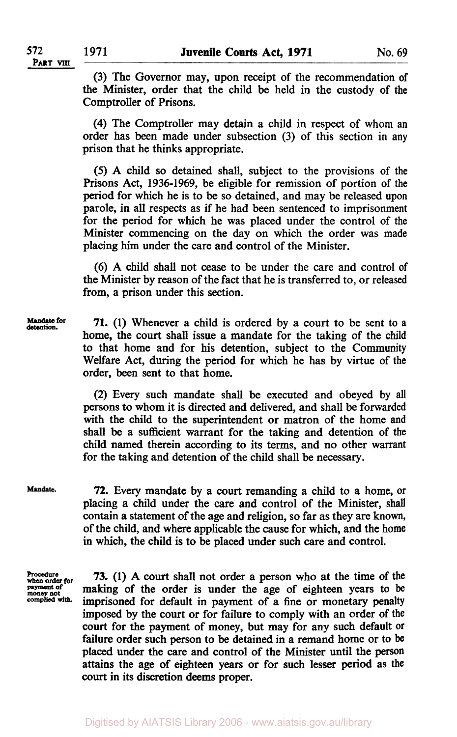(3) The Governor may, upon receipt of the recommendation of the Minister, order that the child be held in the custody of the Comptroller of Prisons.

**(4)** The Comptroller may detain a child in respect of whom an order has been made under subsection (3) of this section in any prison that he thinks appropriate.

*(5)* A child so detained shall, subject to the provisions of the Prisons Act, 1936-1969, be eligible for remission of portion of the period for which he is to be so detained, and may be released upon parole, in all respects as if he had been sentenced to imprisonment for the period for which he was placed under the control of the Minister commencing on the day on which the order was made placing him under the care and control of the Minister.

(6) A child shall not cease to be under the care and control of the Minister by reason of the fact that he is transferred to, or released from, a prison under this section.

**Mandate for detention.** 

**71.** (1) Whenever a child is ordered by a court to be sent to a home, the court shall issue **a** mandate for the taking of the child to that home and for his detention, subject to the Community Welfare Act, during the period for which he has by virtue of the order, been sent to that home.

(2) Every such mandate shall be executed and obeyed by all persons to whom it is directed and delivered, and shall be forwarded with the child to the superintendent or matron of the home and shall be a sufficient warrant for the taking and detention of the child named therein according to its terms, and no other warrant for the taking and detention of the child shall be necessary.

Mandate.

**72.** Every mandate by a court remanding a child to a home, or placing a child under the care and control of the Minister, shall contain a statement of the age and religion, so far as they are known, of the child, and where applicable the cause for which, and the home in which, the child is to be placed under such care and control.

**Procedure when order for Payment of money not complied with,** 

**73.** (1) **A court** shall not order a person who at the time of the making of the order is under the age of eighteen years to be imprisoned for default in payment of a fine or monetary penalty imposed by the court or for failure to comply with an order of the court for the payment of money, but may for any such default **or**  failure order such person to be detained in a remand home or to be placed under the care and control of the Minister until the **person**  attains the age of eighteen years or for such lesser period as the court in its discretion deems proper.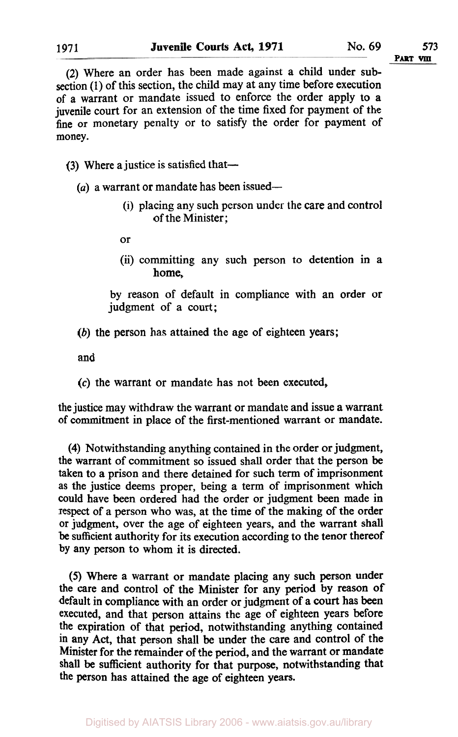(2) Where an order has been made against a child under subsection **(1)** of this section, the child may at any time before execution of a warrant or mandate issued to enforce the order apply to a juvenile court for an extension of the time fixed for payment of the fine or monetary penalty or to satisfy the order for payment of money.

# (3) Where a justice is satisfied that-

- (a) a warrant or mandate has been issued-
	- (i) placing any such person under the care and control of the Minister;

or

(ii) committing any such person to detention in **a**  home,

by reason of default in compliance with an order or judgment of a court;

*(b)* the person has attained the age of eighteen years;

and

*(c)* the warrant or mandate has not been executed,

the justice may withdraw the warrant or mandate and issue a warrant of commitment in place of the first-mentioned warrant or mandate.

**(4)** Notwithstanding anything contained in the order or judgment, the warrant of commitment so issued shall order that the person be taken to a prison and there detained for such term of imprisonment as the justice deems proper, being a term of imprisonment which could have been ordered had the order or judgment been made in respect of a person who was, at the time of the making of the order or judgment, over the age of eighteen years, and the warrant shall be sufficient authority for its execution according to the tenor thereof by any person to whom it is directed.

*(5)* Where a warrant or mandate placing any such person under the care and control of the Minister for any period by reason of default in compliance with an order or judgment of a court has been executed, and that person attains the age of eighteen years before the expiration of that period, notwithstanding anything contained in any Act, that person shall be under the care and control of the Minister for the remainder of the period, and the warrant or mandate shall be sufficient authority for that purpose, notwithstanding that the person has attained the age of eighteen years.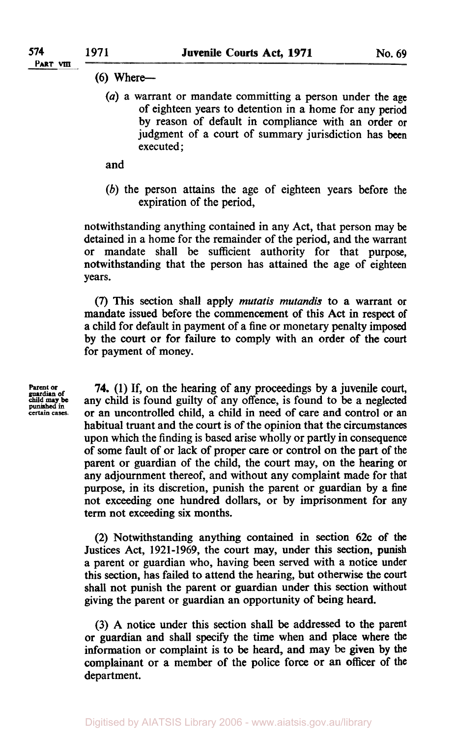## $(6)$  Where--

*(a)* a warrant or mandate committing a person under the age of eighteen years to detention in a home for any period by reason of default in compliance with an order or judgment of a court of summary jurisdiction has been executed ;

### and

*(b)* the person attains the age of eighteen years before the expiration of the period,

notwithstanding anything contained in any Act, that person may be detained in a home for the remainder of the period, and the warrant or mandate shall be sufficient authority for that purpose, notwithstanding that the person has attained the age of eighteen years.

*(7)* This section shall apply *mutatis mutandis* to a warrant or mandate issued before the commencement of this Act in respect of a child for default in payment of a fine or monetary penalty imposed by the court or for failure to comply with an order of the **court**  for payment of money.

**child may be punished in certain cases.** 

**Parent or 74.** (1) If, on the hearing of any proceedings by a juvenile court, guardian of any child is found guilty of any offence, is found to be a neglected or an uncontrolled child, a child in need of care and control or an habitual truant and the court is of the opinion that the circumstances upon which the finding is based arise wholly or partly in consequence of some fault of or lack of proper care or control on the part of the parent or guardian of the child, the court may, on the hearing or any adjournment thereof, and without any complaint made for that purpose, in its discretion, punish the parent or guardian by a fine not exceeding one hundred dollars, or by imprisonment for any term not exceeding six months.

> (2) Notwithstanding anything contained in section 62c of **the**  Justices Act, 1921-1969, the court may, under this section, punish a parent or guardian who, having been served with a notice under this section, has failed to attend the hearing, but otherwise the **court**  shall not punish the parent or guardian under this section without giving the parent or guardian an opportunity of being heard.

> (3) A notice under this section shall be addressed *to* the parent or guardian and shall specify the time when and place where the information or complaint is to be heard, and may be given by the complainant or a member of the police force or **an** officer of the department.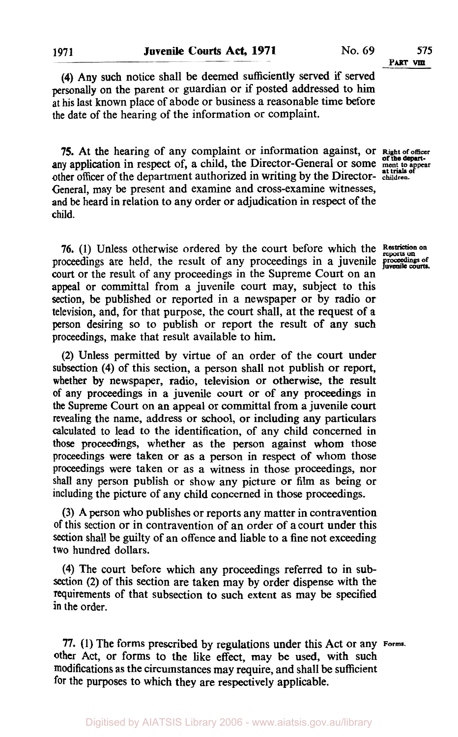**(4) Any** such notice shall be deemed sufficiently **served** if served personally on the parent or guardian or if posted addressed to him at his last known place of abode or business a reasonable time before the date of the hearing of the information or complaint.

**75.** At the hearing of any complaint or information against, or **Right of officer**  any application in respect of, a child, the Director-General or some ment to appear other officer of the department authorized in writing by the Director- **children.**  General, may be present and examine and cross-examine witnesses, and be heard in relation to any order or adjudication in respect of the child.

**76.** (1) Unless otherwise ordered by the court before which the **Restriction on reports on** proceedings are held, the result of any proceedings in a juvenile **proceedings of**  court or the result of any proceedings in the Supreme Court on an appeal or committal from a juvenile court may, subject to this section, be published or reported in a newspaper or by radio or television, and, for that purpose, the court shall, at the request of a **person** desiring so to publish or report the result of any such proceedings, make that result available to him.

(2) Unless permitted by virtue of an order of the court under subsection **(4)** of this section, a person shall not publish or report, whether by newspaper, radio, television or otherwise, the result of any proceedings in a juvenile court or of any proceedings in **the** Supreme Court on an appeal or committal from **a** juvenile **court**  revealing the name, address or school, or including any particulars calculated to lead to the identification, of any child concerned in those proceedings, whether as the person against whom those proceedings were taken or as a person in respect of whom those proceedings were taken or as a witness in those proceedings, nor shall any person publish or show any picture or film as being or including the picture of any child concerned in those proceedings.

(3) A person who publishes or reports any matter in contravention of this section or in contravention of an order of a court under this section shall be guilty of an offence and liable to a fine not exceeding two hundred dollars.

**(4)** The court before which any proceedings referred to in subsection (2) of this section are taken may by order dispense with the requirements of that subsection to such extent as may be specified in the order.

*77.* (1) The forms prescribed by regulations under this Act or any **Form.**  other Act, or forms to the like effect, may be used, with such modifications as the circumstances may require, and shall be sufficient for the purposes to which they are respectively applicable.

**PART VIII** 

**juvenile courts.**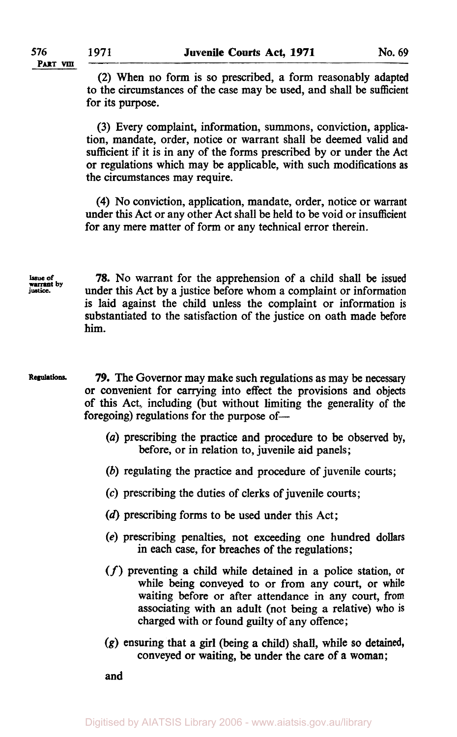(2) When no form is so prescribed, a form reasonably adapted to the circumstances of the case may be used, and shall be sufficient for its purpose.  $\frac{76}{P \text{ART VII}}$   $\frac{1971}{2}$  When n

> (3) Every complaint, information, summons, conviction, application, mandate, order, notice or warrant shall be deemed valid and sufficient if it is in any of the forms prescribed by or under the **Act**  or regulations which may be applicable, with such modifications **as**  the circumstances may require.

> **(4)** No conviction, application, mandate, order, notice or warrant under this Act or any other Act shall be held to be void or insufficient for any mere matter of form or any technical error therein.

**Issue of justice. warrant by** 

**78. No** warrant for the apprehension of a child shall be issued under this Act by a justice before whom a complaint or information is laid against the child unless the complaint or information is substantiated to the satisfaction of the justice on oath made before him.

**Regulations. 79.** The Governor may make such regulations as may be necessary or convenient for carrying into effect the provisions and objects of this Act, including (but without limiting the generality of the foregoing) regulations for the purpose of-

- *(a)* prescribing the practice and procedure to be observed by, before, or in relation to, juvenile aid panels;
- *(b)* regulating the practice and procedure of juvenile courts;
- **(c)** prescribing the duties of clerks of juvenile courts;
- (d) prescribing forms to be used under this Act;
- **(e)** prescribing penalties, not exceeding one hundred dollars in each case, for breaches of the regulations;
- *(f)* preventing a child while detained in a police station, or while being conveyed to or from any court, or while waiting before or after attendance in any court, from associating with an adult (not being a relative) **who is**  charged with or found guilty of any offence;
- **(g)** ensuring that a girl (being a child) shall, while **so** detained, conveyed or waiting, be under the care of a woman;

and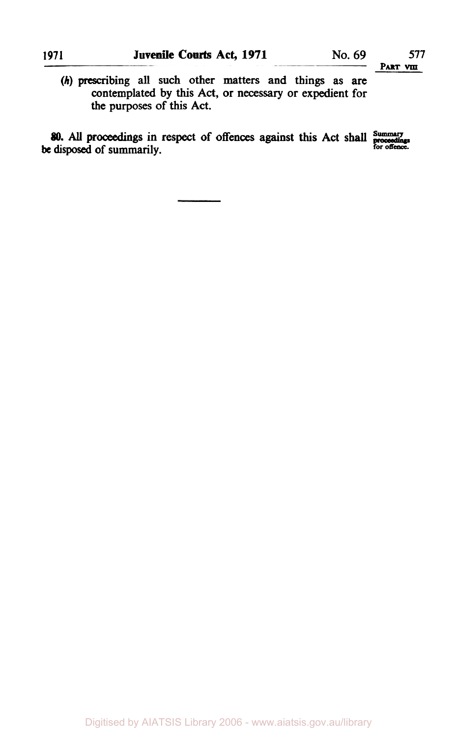*(h)* **prescribing all such other matters and things as are contemplated by this Act, or necessary or expedient for the purposes of this Act.** 

*80. All* **proceedings in respect of offences against this Act shall Summary be a summarily be all the proceedings** in respect of offences against this Fict shall proceedings<br>he disposed of summarily

Digitised by AIATSIS Library 2006 - www.aiatsis.gov.au/library